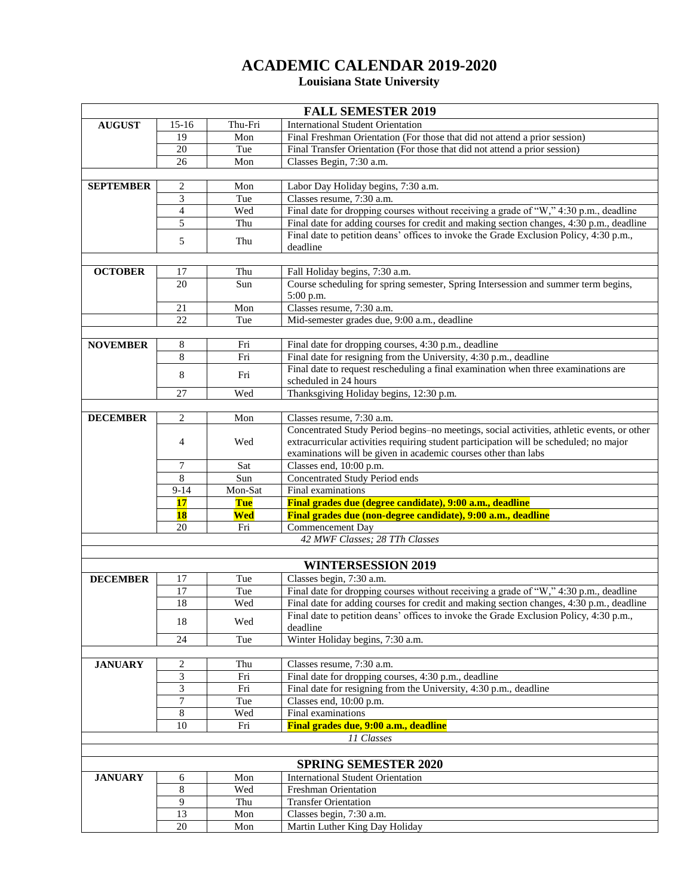## **ACADEMIC CALENDAR 2019-2020**

## **Louisiana State University**

| <b>FALL SEMESTER 2019</b> |                          |         |                                                                                                                         |  |  |
|---------------------------|--------------------------|---------|-------------------------------------------------------------------------------------------------------------------------|--|--|
| <b>AUGUST</b>             | $15-16$                  | Thu-Fri | <b>International Student Orientation</b>                                                                                |  |  |
|                           | 19                       | Mon     | Final Freshman Orientation (For those that did not attend a prior session)                                              |  |  |
|                           | $\overline{20}$          | Tue     | Final Transfer Orientation (For those that did not attend a prior session)                                              |  |  |
|                           | 26                       | Mon     | Classes Begin, 7:30 a.m.                                                                                                |  |  |
|                           |                          |         |                                                                                                                         |  |  |
| <b>SEPTEMBER</b>          | 2                        | Mon     | Labor Day Holiday begins, 7:30 a.m.                                                                                     |  |  |
|                           | $\overline{3}$           | Tue     | Classes resume, 7:30 a.m.                                                                                               |  |  |
|                           | $\overline{\mathcal{L}}$ | Wed     | Final date for dropping courses without receiving a grade of "W," 4:30 p.m., deadline                                   |  |  |
|                           | $\overline{5}$           | Thu     | Final date for adding courses for credit and making section changes, 4:30 p.m., deadline                                |  |  |
|                           | 5                        | Thu     | Final date to petition deans' offices to invoke the Grade Exclusion Policy, 4:30 p.m.,                                  |  |  |
|                           |                          |         | deadline                                                                                                                |  |  |
|                           |                          |         |                                                                                                                         |  |  |
| <b>OCTOBER</b>            | 17                       | Thu     | Fall Holiday begins, 7:30 a.m.                                                                                          |  |  |
|                           | 20                       | Sun     | Course scheduling for spring semester, Spring Intersession and summer term begins,                                      |  |  |
|                           |                          |         | 5:00 p.m.                                                                                                               |  |  |
|                           | 21                       | Mon     | Classes resume, 7:30 a.m.                                                                                               |  |  |
|                           | 22                       | Tue     | Mid-semester grades due, 9:00 a.m., deadline                                                                            |  |  |
|                           |                          |         |                                                                                                                         |  |  |
| <b>NOVEMBER</b>           | 8                        | Fri     | Final date for dropping courses, 4:30 p.m., deadline                                                                    |  |  |
|                           | 8                        | Fri     | Final date for resigning from the University, 4:30 p.m., deadline                                                       |  |  |
|                           | 8                        | Fri     | Final date to request rescheduling a final examination when three examinations are                                      |  |  |
|                           |                          |         | scheduled in 24 hours                                                                                                   |  |  |
|                           | 27                       | Wed     | Thanksgiving Holiday begins, 12:30 p.m.                                                                                 |  |  |
| <b>DECEMBER</b>           |                          |         |                                                                                                                         |  |  |
|                           | $\overline{c}$           | Mon     | Classes resume, 7:30 a.m.<br>Concentrated Study Period begins-no meetings, social activities, athletic events, or other |  |  |
|                           | $\overline{4}$           | Wed     | extracurricular activities requiring student participation will be scheduled; no major                                  |  |  |
|                           |                          |         | examinations will be given in academic courses other than labs                                                          |  |  |
|                           | 7                        | Sat     | Classes end, 10:00 p.m.                                                                                                 |  |  |
|                           | 8                        | Sun     | <b>Concentrated Study Period ends</b>                                                                                   |  |  |
|                           | $9 - 14$                 | Mon-Sat | Final examinations                                                                                                      |  |  |
|                           | 17                       | Tue     | Final grades due (degree candidate), 9:00 a.m., deadline                                                                |  |  |
|                           | <b>18</b>                | Wed     | Final grades due (non-degree candidate), 9:00 a.m., deadline                                                            |  |  |
|                           | 20                       | Fri     | Commencement Day                                                                                                        |  |  |
|                           |                          |         | 42 MWF Classes; 28 TTh Classes                                                                                          |  |  |
|                           |                          |         |                                                                                                                         |  |  |
|                           |                          |         | <b>WINTERSESSION 2019</b>                                                                                               |  |  |
| <b>DECEMBER</b>           | 17                       | Tue     | Classes begin, 7:30 a.m.                                                                                                |  |  |
|                           | 17                       | Tue     | Final date for dropping courses without receiving a grade of "W," 4:30 p.m., deadline                                   |  |  |
|                           | 18                       | Wed     | Final date for adding courses for credit and making section changes, 4:30 p.m., deadline                                |  |  |
|                           |                          |         | Final date to petition deans' offices to invoke the Grade Exclusion Policy, 4:30 p.m.,                                  |  |  |
|                           | 18                       | Wed     | deadline                                                                                                                |  |  |
|                           | 24                       | Tue     | Winter Holiday begins, 7:30 a.m.                                                                                        |  |  |
|                           |                          |         |                                                                                                                         |  |  |
| <b>JANUARY</b>            | 2                        | Thu     | Classes resume, 7:30 a.m.                                                                                               |  |  |
|                           | 3                        | Fri     | Final date for dropping courses, 4:30 p.m., deadline                                                                    |  |  |
|                           | 3                        | Fri     | Final date for resigning from the University, 4:30 p.m., deadline                                                       |  |  |
|                           | 7                        | Tue     | Classes end, 10:00 p.m.                                                                                                 |  |  |
|                           | 8                        | Wed     | Final examinations                                                                                                      |  |  |
|                           | 10                       | Fri     | Final grades due, 9:00 a.m., deadline                                                                                   |  |  |
|                           |                          |         | 11 Classes                                                                                                              |  |  |
|                           |                          |         |                                                                                                                         |  |  |
|                           |                          |         | <b>SPRING SEMESTER 2020</b>                                                                                             |  |  |
| <b>JANUARY</b>            | 6                        | Mon     | <b>International Student Orientation</b>                                                                                |  |  |
|                           | 8                        | Wed     | Freshman Orientation                                                                                                    |  |  |
|                           | 9                        | Thu     | <b>Transfer Orientation</b>                                                                                             |  |  |
|                           | 13                       | Mon     | Classes begin, 7:30 a.m.                                                                                                |  |  |
|                           | $20\,$                   | Mon     | Martin Luther King Day Holiday                                                                                          |  |  |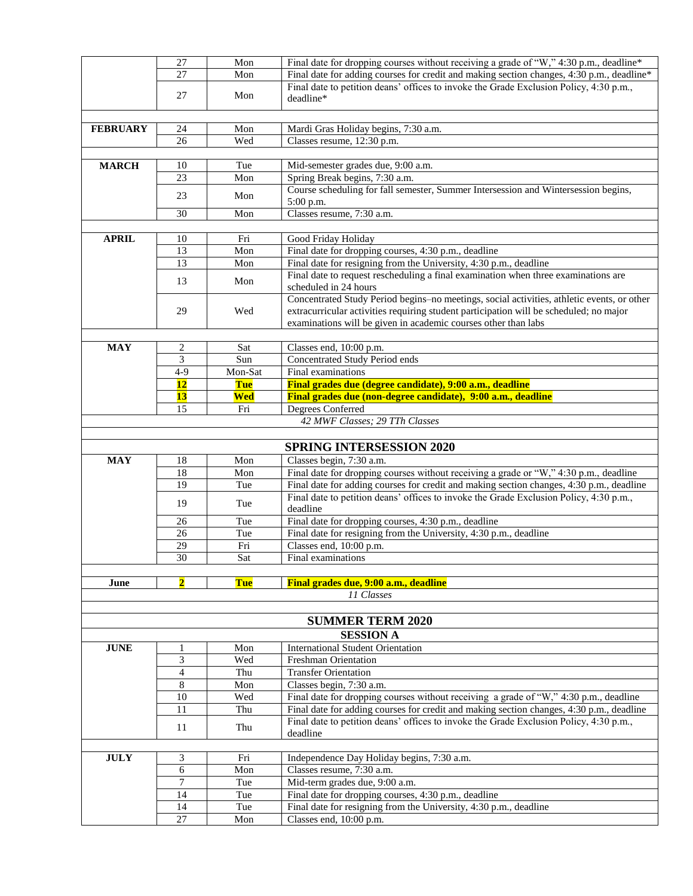|                 | 27             | Mon        | Final date for dropping courses without receiving a grade of "W," 4:30 p.m., deadline*                                                                                             |  |  |  |  |  |
|-----------------|----------------|------------|------------------------------------------------------------------------------------------------------------------------------------------------------------------------------------|--|--|--|--|--|
|                 | 27             | Mon        | Final date for adding courses for credit and making section changes, 4:30 p.m., deadline*                                                                                          |  |  |  |  |  |
|                 |                |            | Final date to petition deans' offices to invoke the Grade Exclusion Policy, 4:30 p.m.,                                                                                             |  |  |  |  |  |
|                 | 27             | Mon        | deadline*                                                                                                                                                                          |  |  |  |  |  |
|                 |                |            |                                                                                                                                                                                    |  |  |  |  |  |
| <b>FEBRUARY</b> | 24             | Mon        | Mardi Gras Holiday begins, 7:30 a.m.                                                                                                                                               |  |  |  |  |  |
|                 | 26             | Wed        | Classes resume, 12:30 p.m.                                                                                                                                                         |  |  |  |  |  |
|                 |                |            |                                                                                                                                                                                    |  |  |  |  |  |
| <b>MARCH</b>    | 10             | Tue        | Mid-semester grades due, 9:00 a.m.                                                                                                                                                 |  |  |  |  |  |
|                 | 23             | Mon        | Spring Break begins, 7:30 a.m.                                                                                                                                                     |  |  |  |  |  |
|                 |                |            | Course scheduling for fall semester, Summer Intersession and Wintersession begins,                                                                                                 |  |  |  |  |  |
|                 | 23             | Mon        | 5:00 p.m.                                                                                                                                                                          |  |  |  |  |  |
|                 | 30             | Mon        | Classes resume, 7:30 a.m.                                                                                                                                                          |  |  |  |  |  |
|                 |                |            |                                                                                                                                                                                    |  |  |  |  |  |
| <b>APRIL</b>    | 10             | Fri        | Good Friday Holiday                                                                                                                                                                |  |  |  |  |  |
|                 | 13             | Mon        | Final date for dropping courses, 4:30 p.m., deadline                                                                                                                               |  |  |  |  |  |
|                 | 13             | Mon        | Final date for resigning from the University, 4:30 p.m., deadline                                                                                                                  |  |  |  |  |  |
|                 | 13             | Mon        | Final date to request rescheduling a final examination when three examinations are                                                                                                 |  |  |  |  |  |
|                 |                |            | scheduled in 24 hours                                                                                                                                                              |  |  |  |  |  |
|                 |                |            | Concentrated Study Period begins-no meetings, social activities, athletic events, or other                                                                                         |  |  |  |  |  |
|                 | 29             | Wed        | extracurricular activities requiring student participation will be scheduled; no major                                                                                             |  |  |  |  |  |
|                 |                |            | examinations will be given in academic courses other than labs                                                                                                                     |  |  |  |  |  |
|                 |                |            |                                                                                                                                                                                    |  |  |  |  |  |
| <b>MAY</b>      | 2              | Sat        | Classes end, 10:00 p.m.                                                                                                                                                            |  |  |  |  |  |
|                 | 3              | Sun        | Concentrated Study Period ends                                                                                                                                                     |  |  |  |  |  |
|                 | $4-9$          | Mon-Sat    | Final examinations                                                                                                                                                                 |  |  |  |  |  |
|                 | <b>12</b>      | <b>Tue</b> | Final grades due (degree candidate), 9:00 a.m., deadline                                                                                                                           |  |  |  |  |  |
|                 | <b>13</b>      | Wed        | Final grades due (non-degree candidate), 9:00 a.m., deadline                                                                                                                       |  |  |  |  |  |
|                 | 15             | Fri        | Degrees Conferred                                                                                                                                                                  |  |  |  |  |  |
|                 |                |            | 42 MWF Classes; 29 TTh Classes                                                                                                                                                     |  |  |  |  |  |
|                 |                |            |                                                                                                                                                                                    |  |  |  |  |  |
|                 |                |            | <b>SPRING INTERSESSION 2020</b>                                                                                                                                                    |  |  |  |  |  |
| <b>MAY</b>      | 18             | Mon        | Classes begin, 7:30 a.m.                                                                                                                                                           |  |  |  |  |  |
|                 | 18<br>19       | Mon        | Final date for dropping courses without receiving a grade or "W," 4:30 p.m., deadline                                                                                              |  |  |  |  |  |
|                 |                | Tue        | Final date for adding courses for credit and making section changes, 4:30 p.m., deadline<br>Final date to petition deans' offices to invoke the Grade Exclusion Policy, 4:30 p.m., |  |  |  |  |  |
|                 | 19             | Tue        | deadline                                                                                                                                                                           |  |  |  |  |  |
|                 | 26             | Tue        | Final date for dropping courses, 4:30 p.m., deadline                                                                                                                               |  |  |  |  |  |
|                 | 26             | Tue        | Final date for resigning from the University, 4:30 p.m., deadline                                                                                                                  |  |  |  |  |  |
|                 | 29             | Fri        | Classes end, 10:00 p.m.                                                                                                                                                            |  |  |  |  |  |
|                 | 30             | Sat        | Final examinations                                                                                                                                                                 |  |  |  |  |  |
|                 |                |            |                                                                                                                                                                                    |  |  |  |  |  |
| June            | $\overline{2}$ | Tue        | Final grades due, 9:00 a.m., deadline                                                                                                                                              |  |  |  |  |  |
|                 |                |            | 11 Classes                                                                                                                                                                         |  |  |  |  |  |
|                 |                |            |                                                                                                                                                                                    |  |  |  |  |  |
|                 |                |            |                                                                                                                                                                                    |  |  |  |  |  |
|                 |                |            |                                                                                                                                                                                    |  |  |  |  |  |
|                 |                |            | <b>SUMMER TERM 2020</b>                                                                                                                                                            |  |  |  |  |  |
|                 |                |            | <b>SESSION A</b>                                                                                                                                                                   |  |  |  |  |  |
| <b>JUNE</b>     | 1              | Mon        | <b>International Student Orientation</b>                                                                                                                                           |  |  |  |  |  |
|                 | 3              | Wed        | <b>Freshman Orientation</b>                                                                                                                                                        |  |  |  |  |  |
|                 | $\overline{4}$ | Thu        | <b>Transfer Orientation</b>                                                                                                                                                        |  |  |  |  |  |
|                 | 8              | Mon        | Classes begin, 7:30 a.m.                                                                                                                                                           |  |  |  |  |  |
|                 | 10<br>11       | Wed<br>Thu | Final date for dropping courses without receiving a grade of "W," 4:30 p.m., deadline                                                                                              |  |  |  |  |  |
|                 |                |            | Final date for adding courses for credit and making section changes, 4:30 p.m., deadline                                                                                           |  |  |  |  |  |
|                 | 11             | Thu        | Final date to petition deans' offices to invoke the Grade Exclusion Policy, 4:30 p.m.,<br>deadline                                                                                 |  |  |  |  |  |
|                 |                |            |                                                                                                                                                                                    |  |  |  |  |  |
| <b>JULY</b>     | 3              | Fri        |                                                                                                                                                                                    |  |  |  |  |  |
|                 | 6              | Mon        | Independence Day Holiday begins, 7:30 a.m.<br>Classes resume, 7:30 a.m.                                                                                                            |  |  |  |  |  |
|                 | 7              | Tue        | Mid-term grades due, 9:00 a.m.                                                                                                                                                     |  |  |  |  |  |
|                 | 14             | Tue        | Final date for dropping courses, 4:30 p.m., deadline                                                                                                                               |  |  |  |  |  |
|                 | 14             | Tue        | Final date for resigning from the University, 4:30 p.m., deadline<br>Classes end, 10:00 p.m.                                                                                       |  |  |  |  |  |